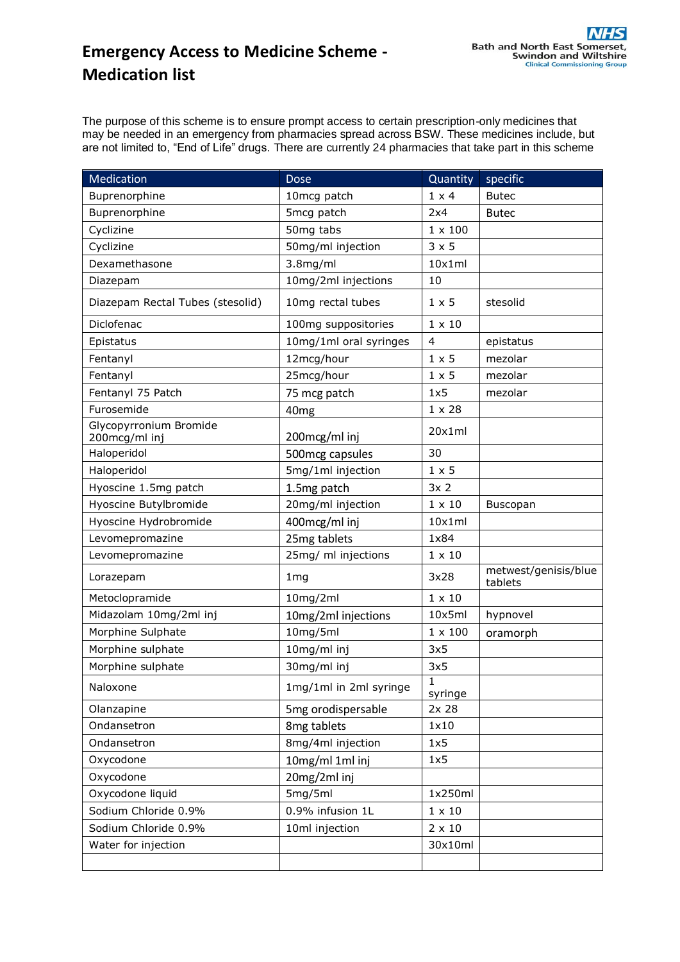## **Emergency Access to Medicine Scheme - Medication list**

The purpose of this scheme is to ensure prompt access to certain prescription-only medicines that may be needed in an emergency from pharmacies spread across BSW. These medicines include, but are not limited to, "End of Life" drugs. There are currently 24 pharmacies that take part in this scheme

| Medication                              | <b>Dose</b>            | Quantity               | specific                        |
|-----------------------------------------|------------------------|------------------------|---------------------------------|
| Buprenorphine                           | 10mcg patch            | $1 \times 4$           | <b>Butec</b>                    |
| Buprenorphine                           | 5mcg patch             | 2x4                    | <b>Butec</b>                    |
| Cyclizine                               | 50mg tabs              | $1 \times 100$         |                                 |
| Cyclizine                               | 50mg/ml injection      | $3 \times 5$           |                                 |
| Dexamethasone                           | 3.8mg/ml               | 10x1ml                 |                                 |
| Diazepam                                | 10mg/2ml injections    | 10                     |                                 |
| Diazepam Rectal Tubes (stesolid)        | 10mg rectal tubes      | $1 \times 5$           | stesolid                        |
| Diclofenac                              | 100mg suppositories    | $1 \times 10$          |                                 |
| Epistatus                               | 10mg/1ml oral syringes | $\overline{4}$         | epistatus                       |
| Fentanyl                                | 12mcg/hour             | $1 \times 5$           | mezolar                         |
| Fentanyl                                | 25mcg/hour             | $1 \times 5$           | mezolar                         |
| Fentanyl 75 Patch                       | 75 mcg patch           | 1x5                    | mezolar                         |
| Furosemide                              | 40 <sub>mg</sub>       | $1 \times 28$          |                                 |
| Glycopyrronium Bromide<br>200mcg/ml inj | 200mcg/ml inj          | 20x1ml                 |                                 |
| Haloperidol                             | 500mcg capsules        | 30                     |                                 |
| Haloperidol                             | 5mg/1ml injection      | $1 \times 5$           |                                 |
| Hyoscine 1.5mg patch                    | 1.5mg patch            | 3x <sub>2</sub>        |                                 |
| Hyoscine Butylbromide                   | 20mg/ml injection      | $1 \times 10$          | Buscopan                        |
| Hyoscine Hydrobromide                   | 400mcg/ml inj          | 10x1ml                 |                                 |
| Levomepromazine                         | 25mg tablets           | 1x84                   |                                 |
| Levomepromazine                         | 25mg/ ml injections    | $1 \times 10$          |                                 |
| Lorazepam                               | 1 <sub>mg</sub>        | 3x28                   | metwest/genisis/blue<br>tablets |
| Metoclopramide                          | 10mg/2ml               | $1 \times 10$          |                                 |
| Midazolam 10mg/2ml inj                  | 10mg/2ml injections    | 10x5ml                 | hypnovel                        |
| Morphine Sulphate                       | 10mg/5ml               | $1 \times 100$         | oramorph                        |
| Morphine sulphate                       | 10mg/ml inj            | 3x5                    |                                 |
| Morphine sulphate                       | 30mg/ml inj            | 3x5                    |                                 |
| Naloxone                                | 1mg/1ml in 2ml syringe | $\mathbf 1$<br>syringe |                                 |
| Olanzapine                              | 5mg orodispersable     | 2x 28                  |                                 |
| Ondansetron                             | 8mg tablets            | 1x10                   |                                 |
| Ondansetron                             | 8mg/4ml injection      | 1x5                    |                                 |
| Oxycodone                               | 10mg/ml 1ml inj        | 1x5                    |                                 |
| Oxycodone                               | 20mg/2ml inj           |                        |                                 |
| Oxycodone liquid                        | 5mg/5ml                | 1x250ml                |                                 |
| Sodium Chloride 0.9%                    | 0.9% infusion 1L       | $1 \times 10$          |                                 |
| Sodium Chloride 0.9%                    | 10ml injection         | $2 \times 10$          |                                 |
| Water for injection                     |                        | 30x10ml                |                                 |